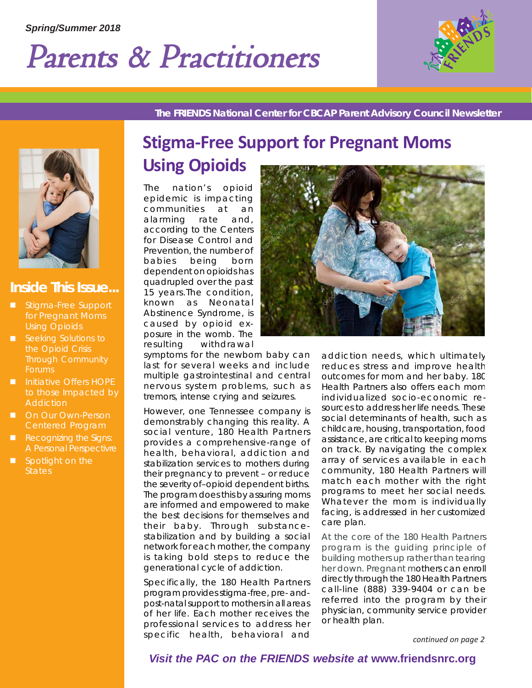# Parents & Practitioners



*The FRIENDS National Center for CBCAP Parent Advisory Council Newsletter*



### *Inside This Issue...*

- Stigma-Free Support for Pregnant Moms Using Opioids
- Seeking Solutions to the Opioid Crisis Through Community Forums
- **Initiative Offers HOPE** to those Impacted by **Addiction**
- **On Our Own-Person** Centered Program
- Recognizing the Signs: A Personal Perspectivre
- Spotlight on the **States**

# **Stigma-Free Support for Pregnant Moms Using Opioids**

The nation's opioid epidemic is impacting communities at an alarming rate and, according to the Centers for Disease Control and Prevention, the number of babies being born dependent on opioids has quadrupled over the past 15 years.The condition, known as Neonatal Abstinence Syndrome, is caused by opioid exposure in the womb. The resulting withdrawal

symptoms for the newborn baby can last for several weeks and include multiple gastrointestinal and central nervous system problems, such as tremors, intense crying and seizures.

However, one Tennessee company is demonstrably changing this reality. A social venture, 180 Health Partners provides a comprehensive-range of health, behavioral, addiction and stabilization services to mothers during their pregnancy to prevent – or reduce the severity of–opioid dependent births. The program does this by assuring moms are informed and empowered to make the best decisions for themselves and their baby. Through substancestabilization and by building a social network for each mother, the company is taking bold steps to reduce the generational cycle of addiction.

Specifically, the 180 Health Partners program provides stigma-free, pre- andpost-natal support to mothers in all areas of her life. Each mother receives the professional services to address her specific health, behavioral and



addiction needs, which ultimately reduces stress and improve health outcomes for mom and her baby. 180 Health Partners also offers each mom individualized socio-economic resources to address her life needs. These social determinants of health, such as childcare, housing, transportation, food assistance, are critical to keeping moms on track. By navigating the complex array of services available in each community, 180 Health Partners will match each mother with the right programs to meet her social needs. Whatever the mom is individually facing, is addressed in her customized care plan.

At the core of the 180 Health Partners program is the guiding principle of building mothers up rather than tearing her down. Pregnant mothers can enroll directly through the 180 Health Partners call-line (888) 339-9404 or can be referred into the program by their physician, community service provider or health plan.

*continued on page 2*

 Parents & Practioner' ents & Practioner'Practioner's News Page 1 *Visit the PAC on the FRIENDS website at* **www.friendsnrc.org**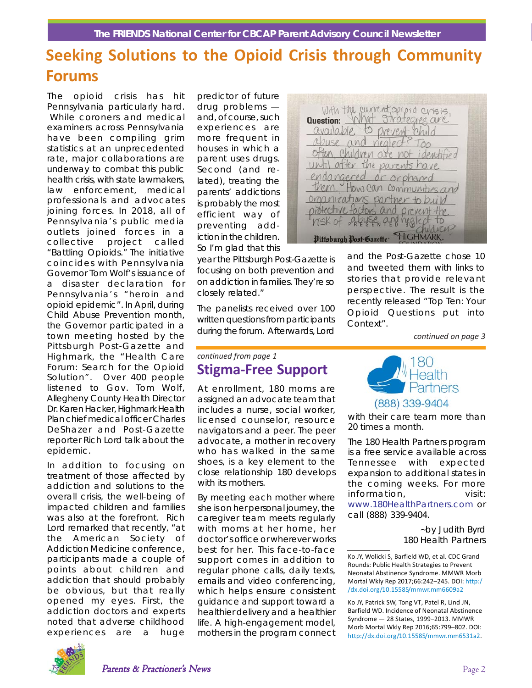### **Seeking Solutions to the Opioid Crisis through Community Forums**

The opioid crisis has hit Pennsylvania particularly hard. While coroners and medical examiners across Pennsylvania have been compiling grim statistics at an unprecedented rate, major collaborations are underway to combat this public health crisis, with state lawmakers, law enforcement, medical professionals and advocates joining forces. In 2018, all of Pennsylvania's public media outlets joined forces in a collective project called "Battling Opioids." The initiative coincides with Pennsylvania Governor Tom Wolf's issuance of a disaster declaration for Pennsylvania's "heroin and opioid epidemic". In April, during Child Abuse Prevention month, the Governor participated in a town meeting hosted by the Pittsburgh Post-Gazette and Highmark, the "Health Care Forum: Search for the Opioid Solution". Over 400 people listened to Gov. Tom Wolf, Allegheny County Health Director Dr. Karen Hacker, Highmark Health Plan chief medical officer Charles DeShazer and Post-Gazette reporter Rich Lord talk about the epidemic.

In addition to focusing on treatment of those affected by addiction and solutions to the overall crisis, the well-being of impacted children and families was also at the forefront. Rich Lord remarked that recently, "at the American Society of Addiction Medicine conference, participants made a couple of points about children and addiction that should probably be obvious, but that really opened my eyes. First, the addiction doctors and experts noted that adverse childhood experiences are a huge

predictor of future drug problems and, of course, such experiences are more frequent in houses in which a parent uses drugs. Second (and related), treating the parents' addictions is probably the most efficient way of preventing addiction in the children. So I'm glad that this

year the Pittsburgh Post-Gazette is focusing on both prevention and on addiction in families. They're so closely related."

The panelists received over 100 written questions from participants during the forum. Afterwards, Lord

### *continued from page 1* **Stigma-Free Support**

At enrollment, 180 moms are assigned an advocate team that includes a nurse, social worker, licensed counselor, resource navigators and a peer. The peer advocate, a mother in recovery who has walked in the same shoes, is a key element to the close relationship 180 develops with its mothers.

By meeting each mother where she is on her personal journey, the caregiver team meets regularly with moms at her home, her doctor's office or wherever works best for her. This face-to-face support comes in addition to regular phone calls, daily texts, emails and video conferencing, which helps ensure consistent guidance and support toward a healthier delivery and a healthier life. A high-engagement model, mothers in the program connect



and the Post-Gazette chose 10 and tweeted them with links to stories that provide relevant perspective. The result is the recently released "Top Ten: Your Opioid Questions put into Context".

*continued on page 3*



with their care team more than 20 times a month.

The 180 Health Partners program is a free service available across Tennessee with expected expansion to additional states in the coming weeks. For more information, visit: www.180HealthPartners.com or call (888) 339-9404.

> *~by Judith Byrd 180 Health Partners*



Ko JY, Wolicki S, Barfield WD, et al. CDC Grand Rounds: Public Health Strategies to Prevent Neonatal Abstinence Syndrome. MMWR Morb Mortal Wkly Rep 2017;66:242–245. DOI: http:/ /dx.doi.org/10.15585/mmwr.mm6609a2

Ko JY, Patrick SW, Tong VT, Patel R, Lind JN, Barfield WD. Incidence of Neonatal Abstinence Syndrome — 28 States, 1999–2013. MMWR Morb Mortal Wkly Rep 2016;65:799–802. DOI: http://dx.doi.org/10.15585/mmwr.mm6531a2.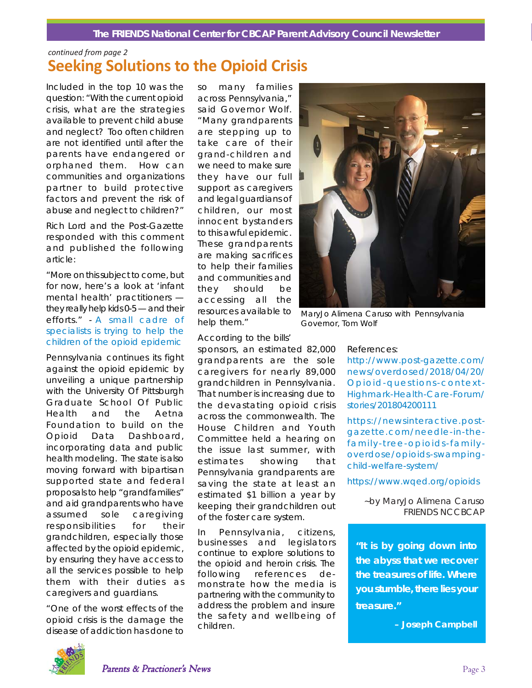#### *The FRIENDS National Center for CBCAP Parent Advisory Council Newsletter*

### **Seeking Solutions to the Opioid Crisis** *continued from page 2*

Included in the top 10 was the question: "With the current opioid crisis, what are the strategies available to prevent child abuse and neglect? Too often children are not identified until after the parents have endangered or orphaned them. How can communities and organizations partner to build protective factors and prevent the risk of abuse and neglect to children?"

Rich Lord and the Post-Gazette responded with this comment and published the following article:

"More on this subject to come, but for now, here's a look at 'infant mental health' practitioners they really help kids 0-5 — and their efforts." - A small cadre of specialists is trying to help the children of the opioid epidemic

Pennsylvania continues its fight against the opioid epidemic by unveiling a unique partnership with the University Of Pittsburgh Graduate School Of Public Health and the Aetna Foundation to build on the Opioid Data Dashboard, incorporating data and public health modeling. The state is also moving forward with bipartisan supported state and federal proposals to help "grandfamilies" and aid grandparents who have assumed sole caregiving responsibilities for their grandchildren, especially those affected by the opioid epidemic, by ensuring they have access to all the services possible to help them with their duties as caregivers and guardians.

"One of the worst effects of the opioid crisis is the damage the disease of addiction has done to so many families across Pennsylvania," said Governor Wolf. "Many grandparents are stepping up to take care of their grand-children and we need to make sure they have our full support as caregivers and legal guardians of children, our most innocent bystanders to this awful epidemic. These grandparents are making sacrifices to help their families and communities and they should be accessing all the resources available to help them."

According to the bills'

sponsors, an estimated 82,000 grandparents are the sole caregivers for nearly 89,000 grandchildren in Pennsylvania. That number is increasing due to the devastating opioid crisis across the commonwealth. The House Children and Youth Committee held a hearing on the issue last summer, with estimates showing that Pennsylvania grandparents are saving the state at least an estimated \$1 billion a year by keeping their grandchildren out of the foster care system.

In Pennsylvania, citizens, businesses and legislators continue to explore solutions to the opioid and heroin crisis. The following references demonstrate how the media is partnering with the community to address the problem and insure the safety and wellbeing of children.



*MaryJo Alimena Caruso with Pennsylvania Governor, Tom Wolf*

References:

http://www.post-gazette.com/ news/overdosed/2018/04/20/ Opioid-questions-context-Highmark-Health-Care-Forum/ stories/201804200111

https://newsinteractive.postgazette.com/needle-in-thefamily-tree-opioids-familyoverdose/opioids-swampingchild-welfare-system/

https://www.wqed.org/opioids

*~by MaryJo Alimena Caruso FRIENDS NCCBCAP*

*"It is by going down into the abyss that we recover the treasures of life. Where you stumble, there lies your treasure."*

*– Joseph Campbell*

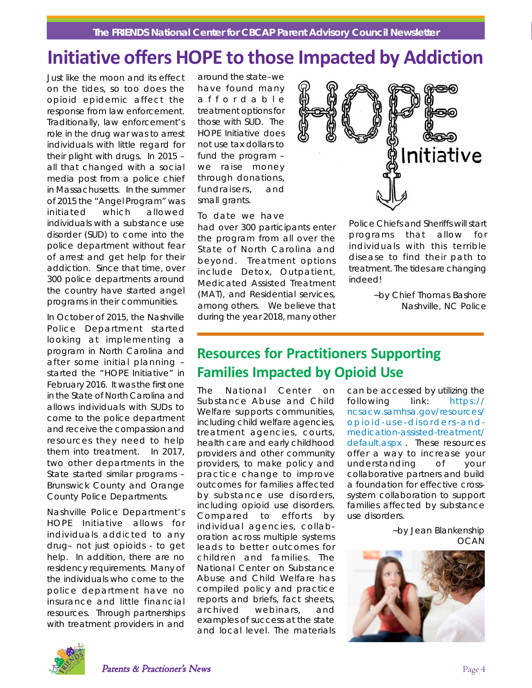#### *The FRIENDS National Center for CBCAP Parent Advisory Council Newsletter*

# **Initiative offers HOPE to those Impacted by Addiction**

Just like the moon and its effect on the tides, so too does the opioid epidemic affect the response from law enforcement. Traditionally, law enforcement's role in the drug war was to arrest individuals with little regard for their plight with drugs. In 2015 – all that changed with a social media post from a police chief in Massachusetts. In the summer of 2015 the "Angel Program" was initiated which allowed individuals with a substance use disorder (SUD) to come into the police department without fear of arrest and get help for their addiction. Since that time, over 300 police departments around the country have started angel programs in their communities.

In October of 2015, the Nashville Police Department started looking at implementing a program in North Carolina and after some initial planning – started the "HOPE Initiative" in February 2016. It was the first one in the State of North Carolina and allows individuals with SUDs to come to the police department and receive the compassion and resources they need to help them into treatment. In 2017, two other departments in the State started similar programs – Brunswick County and Orange County Police Departments.

Nashville Police Department's HOPE Initiative allows for individuals addicted to any drug– not just opioids - to get help. In addition, there are no residency requirements. Many of the individuals who come to the police department have no insurance and little financial resources. Through partnerships with treatment providers in and

around the state–we have found many affordable treatment options for those with SUD. The HOPE Initiative does not use tax dollars to fund the program – we raise money through donations, fundraisers, and small grants.

To date we have

had over 300 participants enter the program from all over the State of North Carolina and beyond. Treatment options include Detox, Outpatient, Medicated Assisted Treatment (MAT), and Residential services, among others. We believe that during the year 2018, many other



Police Chiefs and Sheriffs will start programs that allow for individuals with this terrible disease to find their path to treatment. The tides are changing indeed!

> *~by Chief Thomas Bashore Nashville, NC Police*

### **Resources for Practitioners Supporting Families Impacted by Opioid Use**

The National Center on Substance Abuse and Child Welfare supports communities, including child welfare agencies, treatment agencies, courts, health care and early childhood providers and other community providers, to make policy and practice change to improve outcomes for families affected by substance use disorders, including opioid use disorders. Compared to efforts by individual agencies, collaboration across multiple systems leads to better outcomes for children and families. The National Center on Substance Abuse and Child Welfare has compiled policy and practice reports and briefs, fact sheets, archived webinars, and examples of success at the state and local level. The materials

can be accessed by utilizing the following link: https:// ncsacw.samhsa.gov/resources/ opioid-use-disorders-andmedication-assisted-treatment/ default.aspx . These resources offer a way to increase your understanding of your collaborative partners and build a foundation for effective crosssystem collaboration to support families affected by substance use disorders.

> ~by Jean Blankenship **OCAN**



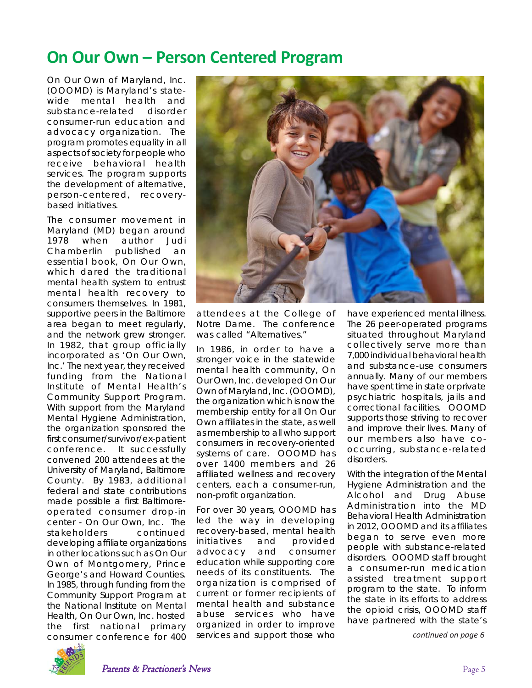### **On Our Own – Person Centered Program**

On Our Own of Maryland, Inc. (OOOMD) is Maryland's statewide mental health and substance-related disorder consumer-run education and advocacy organization. The program promotes equality in all aspects of society for people who receive behavioral health services. The program supports the development of alternative, person-centered, recoverybased initiatives.

The consumer movement in Maryland (MD) began around 1978 when author Judi Chamberlin published an essential book, *On Our Own*, which dared the traditional mental health system to entrust mental health recovery to consumers themselves. In 1981, supportive peers in the Baltimore area began to meet regularly, and the network grew stronger. In 1982, that group officially incorporated as 'On Our Own, Inc.' The next year, they received funding from the National Institute of Mental Health's Community Support Program. With support from the Maryland Mental Hygiene Administration, the organization sponsored the first consumer/survivor/ex-patient conference. It successfully convened 200 attendees at the University of Maryland, Baltimore County. By 1983, additional federal and state contributions made possible a first Baltimoreoperated consumer drop-in center - On Our Own, Inc. The stakeholders continued developing affiliate organizations in other locations such as On Our Own of Montgomery, Prince George's and Howard Counties. In 1985, through funding from the Community Support Program at the National Institute on Mental Health, On Our Own, Inc. hosted the first national primary consumer conference for 400



attendees at the College of Notre Dame. The conference was called "Alternatives."

In 1986, in order to have a stronger voice in the *statewide* mental health community, On Our Own, Inc. developed On Our Own of Maryland, Inc. (OOOMD), the organization which is now the membership entity for all On Our Own affiliates in the state, as well as membership to all who support consumers in recovery-oriented systems of care. OOOMD has over 1400 members and 26 affiliated wellness and recovery centers, each a consumer-run, non-profit organization.

For over 30 years, OOOMD has led the way in developing recovery-based, mental health initiatives and provided advocacy and consumer education while supporting core needs of its constituents. The organization is comprised of current or former recipients of mental health and substance abuse services who have organized in order to improve services and support those who

have experienced mental illness. The 26 peer-operated programs situated throughout Maryland collectively serve more than 7,000 individual behavioral health and substance-use consumers annually. Many of our members have spent time in state or private psychiatric hospitals, jails and correctional facilities. OOOMD supports those striving to recover and improve their lives. Many of our members also have cooccurring, substance-related disorders.

With the integration of the Mental Hygiene Administration and the Alcohol and Drug Abuse Administration into the MD Behavioral Health Administration in 2012, OOOMD and its affiliates began to serve even more people with substance-related disorders. OOOMD staff brought a consumer-run medication assisted treatment support program to the state. To inform the state in its efforts to address the opioid crisis, OOOMD staff have partnered with the state's

*continued on page 6*

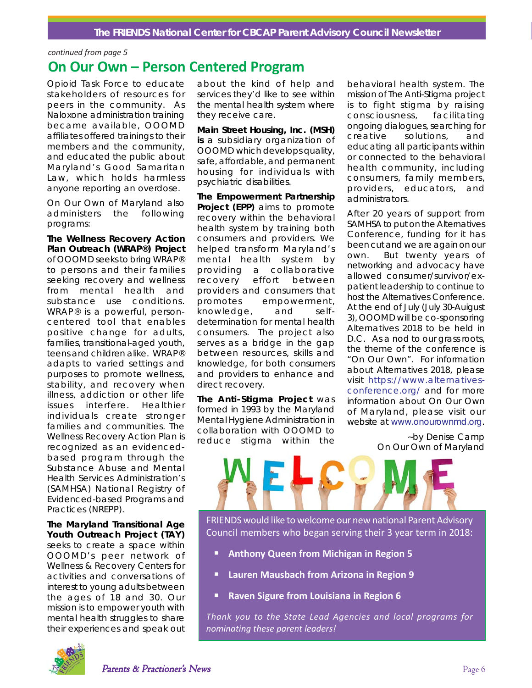#### *The FRIENDS National Center for CBCAP Parent Advisory Council Newsletter*

#### *continued from page 5*

### **On Our Own – Person Centered Program**

Opioid Task Force to educate stakeholders of resources for peers in the community. As Naloxone administration training became available, OOOMD affiliates offered trainings to their members and the community, and educated the public about Maryland's Good Samaritan Law, which holds harmless anyone reporting an overdose.

On Our Own of Maryland also administers the following programs:

*The Wellness Recovery Action Plan Outreach (WRAP®) Project* of OOOMD seeks to bring WRAP® to persons and their families seeking recovery and wellness from mental health and substance use conditions. WRAP® is a powerful, personcentered tool that enables positive change for adults, families, transitional-aged youth, teens and children alike. WRAP® adapts to varied settings and purposes to promote wellness, stability, and recovery when illness, addiction or other life issues interfere. Healthier individuals create stronger families and communities. The Wellness Recovery Action Plan is recognized as an evidencedbased program through the Substance Abuse and Mental Health Services Administration's (SAMHSA) National Registry of Evidenced-based Programs and Practices (NREPP).

*The Maryland Transitional Age Youth Outreach Project (TAY)* seeks to create a space within OOOMD's peer network of Wellness & Recovery Centers for activities and conversations of interest to young adults between the ages of 18 and 30. Our mission is to empower youth with mental health struggles to share their experiences and speak out about the kind of help and services they'd like to see within the mental health system where they receive care.

*Main Street Housing, Inc.* **(MSH) is** a subsidiary organization of OOOMD which develops quality, safe, affordable, and permanent housing for individuals with psychiatric disabilities.

*The Empowerment Partnership Project* **(EPP)** aims to promote recovery within the behavioral health system by training both consumers and providers. We helped transform Maryland's mental health system by providing a collaborative recovery effort between providers and consumers that promotes empowerment, knowledge, and selfdetermination for mental health consumers. The project also serves as a bridge in the gap between resources, skills and knowledge, for both consumers and providers to enhance and direct recovery.

*The Anti-Stigma Project* was formed in 1993 by the Maryland Mental Hygiene Administration in collaboration with OOOMD to reduce stigma within the

behavioral health system. The mission of The Anti-Stigma project is to fight stigma by raising consciousness, facilitating ongoing dialogues, searching for creative solutions, and educating all participants within or connected to the behavioral health community, including consumers, family members, providers, educators, and administrators.

After 20 years of support from SAMHSA to put on the Alternatives Conference, funding for it has been cut and we are again on our own. But twenty years of networking and advocacy have allowed consumer/survivor/expatient leadership to continue to host the Alternatives Conference. At the end of July (July 30-Auigust 3), OOOMD will be co-sponsoring Alternatives 2018 to be held in D.C. As a nod to our grass roots, the theme of the conference is "On Our Own". For information about Alternatives 2018, please visit https://www.alternativesconference.org/ and for more information about On Our Own of Maryland, please visit our website at www.onourownmd.org.

> *~by Denise Camp On Our Own of Maryland*



FRIENDS would like to welcome our new national Parent Advisory Council members who began serving their 3 year term in 2018:

- **E** Anthony Queen from Michigan in Region 5
- **Lauren Mausbach from Arizona in Region 9**
- **Raven Sigure from Louisiana in Region 6**

*Thank you to the State Lead Agencies and local programs for nominating these parent leaders!*

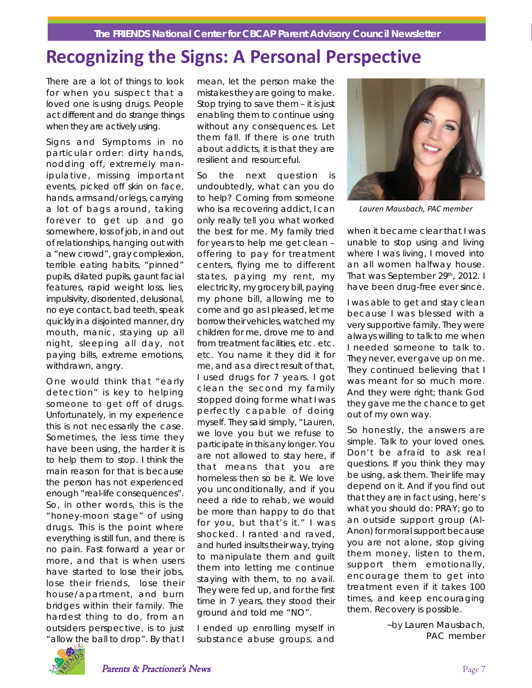# **Recognizing the Signs: A Personal Perspective**

There are a lot of things to look for when you suspect that a loved one is using drugs. People act different and do strange things when they are actively using.

Signs and Symptoms in no particular order: dirty hands, nodding off, extremely manipulative, missing important events, picked off skin on face, hands, arms and/or legs, carrying a lot of bags around, taking forever to get up and go somewhere, loss of job, in and out of relationships, hanging out with a "new crowd", gray complexion, terrible eating habits, "pinned" pupils, dilated pupils, gaunt facial features, rapid weight loss, lies, impulsivity, disoriented, delusional, no eye contact, bad teeth, speak quickly in a disjointed manner, dry mouth, manic, staying up all night, sleeping all day, not paying bills, extreme emotions, withdrawn, angry.

One would think that "early detection" is key to helping someone to get off of drugs. Unfortunately, in my experience this is not necessarily the case. Sometimes, the less time they have been using, the harder it is to help them to stop. I think the main reason for that is because the person has not experienced enough "real-life consequences". So, in other words, this is the "honey-moon stage" of using drugs. This is the point where everything is still fun, and there is no pain. Fast forward a year or more, and that is when users have started to lose their jobs, lose their friends, lose their house/apartment, and burn bridges within their family. The hardest thing to do, from an outsiders perspective, is to just "allow the ball to drop". By that I mean, let the person make the mistakes they are going to make. Stop trying to save them – it is just enabling them to continue using without any consequences. Let them fall. If there is one truth about addicts, it is that they are resilient and resourceful.

So the next question is undoubtedly, what can you do to help? Coming from someone who is a recovering addict, I can only really tell you what worked the best for me. My family tried for years to help me get clean – offering to pay for treatment centers, flying me to different states, paying my rent, my electricity, my grocery bill, paying my phone bill, allowing me to come and go as I pleased, let me borrow their vehicles, watched my children for me, drove me to and from treatment facilities, etc. etc. etc. You name it they did it for me, and as a direct result of that, I used drugs for 7 years. I got clean the second my family stopped doing for me what I was perfectly capable of doing myself. They said simply, "Lauren, we love you but we refuse to participate in this any longer. You are not allowed to stay here, if that means that you are homeless then so be it. We love you unconditionally, and if you need a ride to rehab, we would be more than happy to do that for you, but that's it." I was shocked. I ranted and raved, and hurled insults their way, trying to manipulate them and guilt them into letting me continue staying with them, to no avail. They were fed up, and for the first time in 7 years, they stood their ground and told me "NO".

I ended up enrolling myself in substance abuse groups, and



*Lauren Mausbach, PAC member*

when it became clear that I was unable to stop using and living where I was living, I moved into an all women halfway house. That was September 29th, 2012. I have been drug-free ever since.

I was able to get and stay clean because I was blessed with a very supportive family. They were always willing to talk to me when I needed someone to talk to. They never, ever gave up on me. They continued believing that I was meant for so much more. And they were right; thank God they gave me the chance to get out of my own way.

So honestly, the answers are simple. Talk to your loved ones. Don't be afraid to ask real questions. If you think they may be using, ask them. Their life may depend on it. And if you find out that they are in fact using, here's what you should do: PRAY; go to an outside support group (Al-Anon) for moral support because you are not alone, stop giving them money, listen to them, support them emotionally, encourage them to get into treatment even if it takes 100 times, and keep encouraging them. Recovery is possible.

> *~by Lauren Mausbach, PAC member*